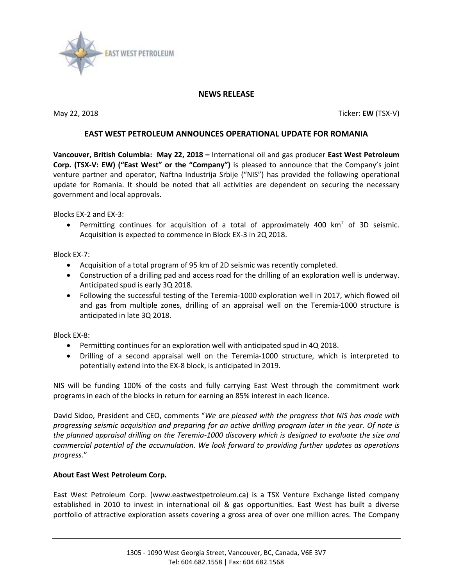

## **NEWS RELEASE**

May 22, 2018 Ticker: **EW** (TSX-V)

## **EAST WEST PETROLEUM ANNOUNCES OPERATIONAL UPDATE FOR ROMANIA**

**Vancouver, British Columbia: May 22, 2018 –** International oil and gas producer **East West Petroleum Corp. (TSX-V: EW) ("East West" or the "Company")** is pleased to announce that the Company's joint venture partner and operator, Naftna Industrija Srbije ("NIS") has provided the following operational update for Romania. It should be noted that all activities are dependent on securing the necessary government and local approvals.

Blocks EX-2 and EX-3:

• Permitting continues for acquisition of a total of approximately 400  $km^2$  of 3D seismic. Acquisition is expected to commence in Block EX-3 in 2Q 2018.

Block EX-7:

- Acquisition of a total program of 95 km of 2D seismic was recently completed.
- Construction of a drilling pad and access road for the drilling of an exploration well is underway. Anticipated spud is early 3Q 2018.
- Following the successful testing of the Teremia-1000 exploration well in 2017, which flowed oil and gas from multiple zones, drilling of an appraisal well on the Teremia-1000 structure is anticipated in late 3Q 2018.

Block EX-8:

- Permitting continues for an exploration well with anticipated spud in 4Q 2018.
- Drilling of a second appraisal well on the Teremia-1000 structure, which is interpreted to potentially extend into the EX-8 block, is anticipated in 2019.

NIS will be funding 100% of the costs and fully carrying East West through the commitment work programs in each of the blocks in return for earning an 85% interest in each licence.

David Sidoo, President and CEO, comments "*We are pleased with the progress that NIS has made with progressing seismic acquisition and preparing for an active drilling program later in the year. Of note is the planned appraisal drilling on the Teremia-1000 discovery which is designed to evaluate the size and commercial potential of the accumulation. We look forward to providing further updates as operations progress.*"

## **About East West Petroleum Corp.**

East West Petroleum Corp. (www.eastwestpetroleum.ca) is a TSX Venture Exchange listed company established in 2010 to invest in international oil & gas opportunities. East West has built a diverse portfolio of attractive exploration assets covering a gross area of over one million acres. The Company